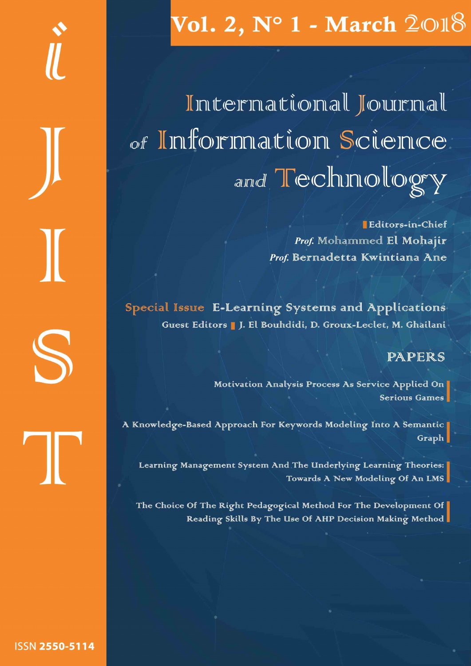# Vol. 2,  $N^{\circ}$  1 - March  $2$ O1 $8$

International Journal of Information Science and Technology

> Bditors-in-Chief Prof. Mohammed El Mohajir Prof. Bernadetta Kwintiana Ane

Special Issue E-Learning Systems and Applications Guest Editors | J. El Bouhdidi, D. Groux-Leclet, M. Ghailani

## PAPERS

Motivation Analysis Process As Service Applied On Serious Games

A Knowledge-Based Approach For Keywords Modeling Into A Semantic Graph

Learning Management System And The Underlying Learning Theories: Towards A New Modeling Of An LMS

The Choice Of The Right Pedagogical Method For The Development Of Reading Skills By The Use Of AHP Decision Making Method

Ш  $\mathbf I$ S H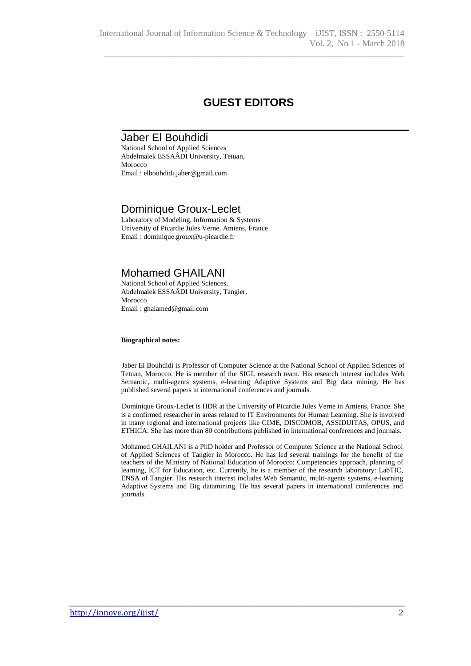\_\_\_\_\_\_\_\_\_\_\_\_\_\_\_\_\_\_\_\_\_\_\_\_\_\_\_\_\_\_\_\_\_\_\_\_\_\_\_\_\_\_\_\_\_\_\_\_\_\_\_\_\_\_\_\_\_\_\_\_\_\_\_\_\_\_\_\_\_

## **GUEST EDITORS**

#### Jaber El Bouhdidi

National School of Applied Sciences Abdelmalek ESSAÂDI University, Tetuan, Morocco Email [: elbouhdidi.jaber@gmail.com](mailto:elbouhdidi.jaber@gmail.com)

#### Dominique Groux-Leclet

Laboratory of Modeling, Information & Systems University of Picardie Jules Verne, Amiens, France Email : dominique.groux@u-picardie.fr

### Mohamed GHAILANI

National School of Applied Sciences, Abdelmalek ESSAÂDI University, Tangier, Morocco Email : [ghalamed@](mailto:alachhab@gmail.com)gmail.com

#### **Biographical notes:**

Jaber El Bouhdidi is Professor of Computer Science at the National School of Applied Sciences of Tetuan, Morocco. He is member of the SIGL research team. His research interest includes Web Semantic, multi-agents systems, e-learning Adaptive Systems and Big data mining. He has published several papers in international conferences and journals.

Dominique Groux-Leclet is HDR at the University of Picardie Jules Verne in Amiens, France. She is a confirmed researcher in areas related to IT Environments for Human Learning. She is involved in many regional and international projects like CIME, DISCOMOB, ASSIDUITAS, OPUS, and ETHICA. She has more than 80 contributions published in international conferences and journals.

Mohamed GHAILANI is a PhD holder and Professor of Computer Science at the National School of Applied Sciences of Tangier in Morocco. He has led several trainings for the benefit of the teachers of the Ministry of National Education of Morocco: Competencies approach, planning of learning, ICT for Education, etc. Currently, he is a member of the research laboratory: LabTIC, ENSA of Tangier. His research interest includes Web Semantic, multi-agents systems, e-learning Adaptive Systems and Big datamining. He has several papers in international conferences and journals.

\_\_\_\_\_\_\_\_\_\_\_\_\_\_\_\_\_\_\_\_\_\_\_\_\_\_\_\_\_\_\_\_\_\_\_\_\_\_\_\_\_\_\_\_\_\_\_\_\_\_\_\_\_\_\_\_\_\_\_\_\_\_\_\_\_\_\_\_\_\_\_\_\_\_\_\_\_